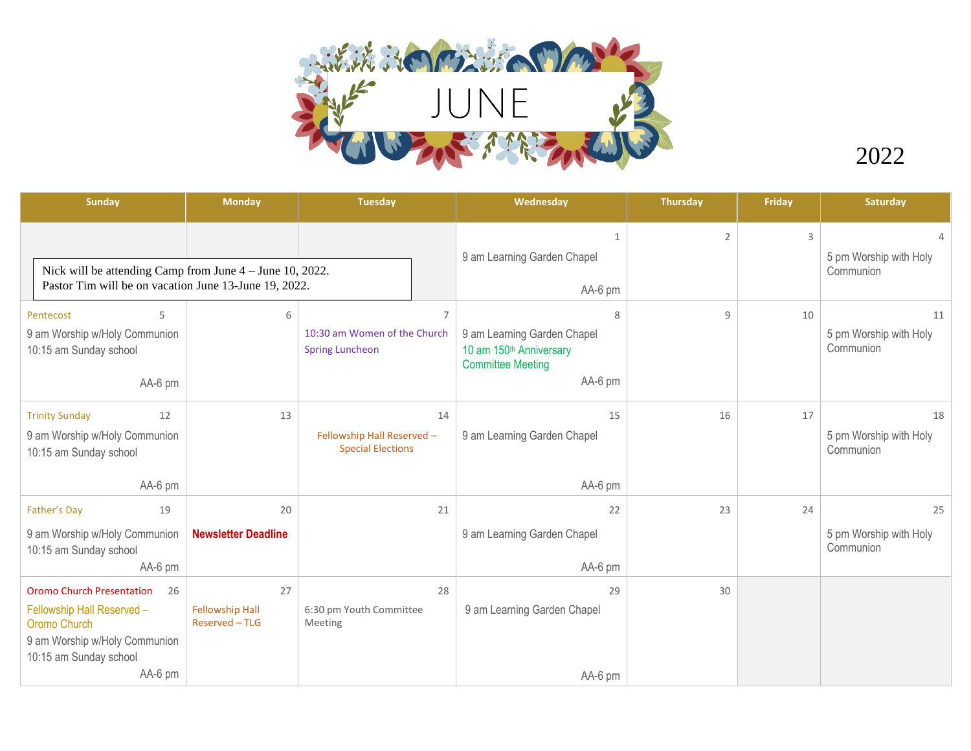

2022

|                                                       |                                                              |                                                            | 1<br>9 am Learning Garden Chapel                                                                   | $\overline{2}$           | 3  | 5 pm Worship with Holy<br>Communion       |
|-------------------------------------------------------|--------------------------------------------------------------|------------------------------------------------------------|----------------------------------------------------------------------------------------------------|--------------------------|----|-------------------------------------------|
| Pastor Tim will be on vacation June 13-June 19, 2022. |                                                              |                                                            | AA-6 pm                                                                                            |                          |    |                                           |
| 6                                                     | <b>Spring Luncheon</b>                                       | $\overline{7}$                                             | 8<br>9 am Learning Garden Chapel<br>10 am 150th Anniversary<br><b>Committee Meeting</b><br>AA-6 pm | $\mathbf{q}$             | 10 | 11<br>5 pm Worship with Holy<br>Communion |
| 13                                                    | 14<br>Fellowship Hall Reserved -<br><b>Special Elections</b> |                                                            | 15<br>9 am Learning Garden Chapel                                                                  | 16                       | 17 | 18<br>5 pm Worship with Holy<br>Communion |
|                                                       |                                                              |                                                            |                                                                                                    |                          | 24 | 25                                        |
| <b>Newsletter Deadline</b>                            |                                                              |                                                            | 9 am Learning Garden Chapel<br>AA-6 pm                                                             |                          |    | 5 pm Worship with Holy<br>Communion       |
| 27                                                    |                                                              | 28                                                         | 29                                                                                                 | 30                       |    |                                           |
| <b>Fellowship Hall</b><br>Reserved - TLG              | Meeting                                                      |                                                            | 9 am Learning Garden Chapel                                                                        |                          |    |                                           |
|                                                       | 20                                                           | Nick will be attending Camp from June $4 -$ June 10, 2022. | 10:30 am Women of the Church<br>21<br>6:30 pm Youth Committee                                      | AA-6 pm<br>22<br>AA-6 pm | 23 |                                           |